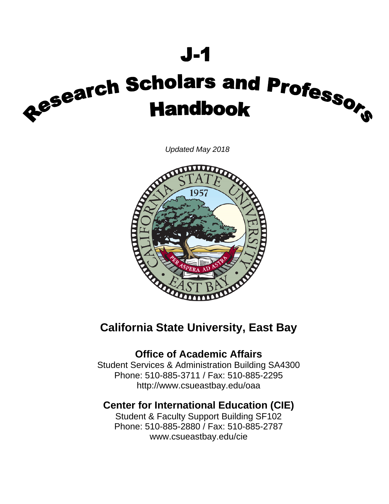# $J - 1$

# Research Scholars and Professorth<br>Handbook

*Updated May 2018* 



# **California State University, East Bay**

# **Office of Academic Affairs**

Student Services & Administration Building SA4300 Phone: 510-885-3711 / Fax: 510-885-2295 http://www.csueastbay.edu/oaa

# **Center for International Education (CIE)**

Student & Faculty Support Building SF102 Phone: 510-885-2880 / Fax: 510-885-2787 www.csueastbay.edu/cie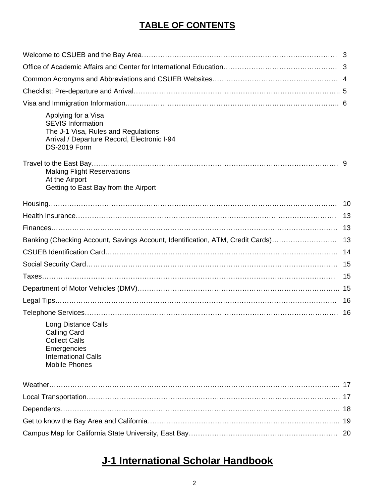# **TABLE OF CONTENTS**

| Applying for a Visa<br><b>SEVIS Information</b><br>The J-1 Visa, Rules and Regulations<br>Arrival / Departure Record, Electronic I-94<br><b>DS-2019 Form</b> |    |
|--------------------------------------------------------------------------------------------------------------------------------------------------------------|----|
| <b>Making Flight Reservations</b><br>At the Airport<br>Getting to East Bay from the Airport                                                                  |    |
|                                                                                                                                                              |    |
|                                                                                                                                                              | 13 |
|                                                                                                                                                              |    |
| Banking (Checking Account, Savings Account, Identification, ATM, Credit Cards)                                                                               | 13 |
|                                                                                                                                                              | 14 |
|                                                                                                                                                              | 15 |
|                                                                                                                                                              | 15 |
|                                                                                                                                                              |    |
|                                                                                                                                                              | 16 |
| <b>Long Distance Calls</b><br><b>Calling Card</b><br><b>Collect Calls</b><br>Emergencies<br><b>International Calls</b><br><b>Mobile Phones</b>               | 16 |
|                                                                                                                                                              |    |
|                                                                                                                                                              |    |
|                                                                                                                                                              |    |
|                                                                                                                                                              |    |
|                                                                                                                                                              | 20 |

# **J-1 International Scholar Handbook**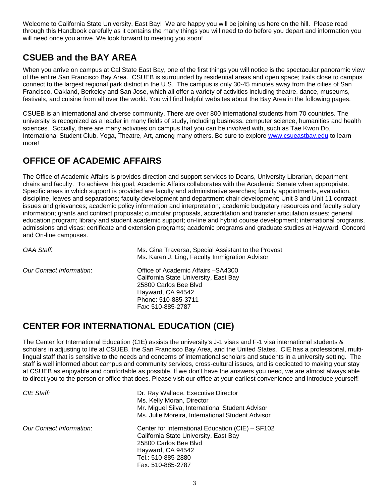Welcome to California State University, East Bay! We are happy you will be joining us here on the hill. Please read through this Handbook carefully as it contains the many things you will need to do before you depart and information you will need once you arrive. We look forward to meeting you soon!

# **CSUEB and the BAY AREA**

When you arrive on campus at Cal State East Bay, one of the first things you will notice is the spectacular panoramic view of the entire San Francisco Bay Area. CSUEB is surrounded by residential areas and open space; trails close to campus connect to the largest regional park district in the U.S. The campus is only 30-45 minutes away from the cities of San Francisco, Oakland, Berkeley and San Jose, which all offer a variety of activities including theatre, dance, museums, festivals, and cuisine from all over the world. You will find helpful websites about the Bay Area in the following pages.

CSUEB is an international and diverse community. There are over 800 international students from 70 countries. The university is recognized as a leader in many fields of study, including business, computer science, humanities and health sciences. Socially, there are many activities on campus that you can be involved with, such as Tae Kwon Do, International Student Club, Yoga, Theatre, Art, among many others. Be sure to explore www.csueastbay.edu to learn more!

# **OFFICE OF ACADEMIC AFFAIRS**

The Office of Academic Affairs is provides direction and support services to Deans, University Librarian, department chairs and faculty. To achieve this goal, Academic Affairs collaborates with the Academic Senate when appropriate. Specific areas in which support is provided are faculty and administrative searches; faculty appointments, evaluation, discipline, leaves and separations; faculty development and department chair development; Unit 3 and Unit 11 contract issues and grievances; academic policy information and interpretation; academic budgetary resources and faculty salary information; grants and contract proposals; curricular proposals, accreditation and transfer articulation issues; general education program; library and student academic support; on-line and hybrid course development; international programs, admissions and visas; certificate and extension programs; academic programs and graduate studies at Hayward, Concord and On-line campuses.

| OAA Staff:                      | Ms. Gina Traversa, Special Assistant to the Provost<br>Ms. Karen J. Ling, Faculty Immigration Advisor                                                                  |
|---------------------------------|------------------------------------------------------------------------------------------------------------------------------------------------------------------------|
| <b>Our Contact Information:</b> | Office of Academic Affairs - SA4300<br>California State University, East Bay<br>25800 Carlos Bee Blyd<br>Hayward, CA 94542<br>Phone: 510-885-3711<br>Fax: 510-885-2787 |

# **CENTER FOR INTERNATIONAL EDUCATION (CIE)**

The Center for International Education (CIE) assists the university's J-1 visas and F-1 visa international students & scholars in adjusting to life at CSUEB, the San Francisco Bay Area, and the United States. CIE has a professional, multilingual staff that is sensitive to the needs and concerns of international scholars and students in a university setting. The staff is well informed about campus and community services, cross-cultural issues, and is dedicated to making your stay at CSUEB as enjoyable and comfortable as possible. If we don't have the answers you need, we are almost always able to direct you to the person or office that does. Please visit our office at your earliest convenience and introduce yourself!

| CIE Staff:               | Dr. Ray Wallace, Executive Director              |  |  |
|--------------------------|--------------------------------------------------|--|--|
|                          | Ms. Kelly Moran, Director                        |  |  |
|                          | Mr. Miguel Silva, International Student Advisor  |  |  |
|                          | Ms. Julie Moreira, International Student Advisor |  |  |
| Our Contact Information: | Center for International Education (CIE) - SF102 |  |  |
|                          | California State University, East Bay            |  |  |
|                          | 25800 Carlos Bee Blvd                            |  |  |
|                          | Hayward, CA 94542                                |  |  |
|                          | Tel.: 510-885-2880                               |  |  |
|                          | Fax: 510-885-2787                                |  |  |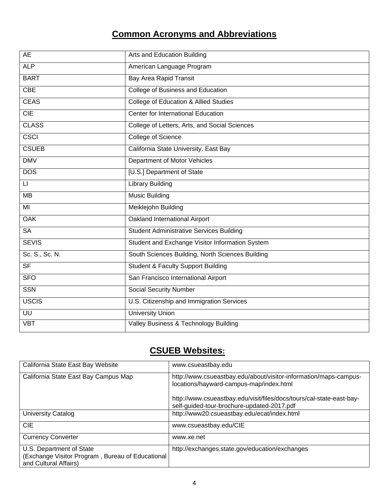# **Common Acronyms and Abbreviations**

| <b>AE</b>                | Arts and Education Building                      |
|--------------------------|--------------------------------------------------|
| <b>ALP</b>               | American Language Program                        |
| <b>BART</b>              | <b>Bay Area Rapid Transit</b>                    |
| CBE                      | College of Business and Education                |
| <b>CEAS</b>              | <b>College of Education &amp; Allied Studies</b> |
| CIE                      | Center for International Education               |
| <b>CLASS</b>             | College of Letters, Arts, and Social Sciences    |
| <b>CSCI</b>              | <b>College of Science</b>                        |
| <b>CSUEB</b>             | California State University, East Bay            |
| <b>DMV</b>               | Department of Motor Vehicles                     |
| <b>DOS</b>               | [U.S.] Department of State                       |
| $\mathsf{L}\mathsf{I}$   | <b>Library Building</b>                          |
| $\overline{MB}$          | <b>Music Building</b>                            |
| $\overline{M}$           | Meiklejohn Building                              |
| <b>OAK</b>               | Oakland International Airport                    |
| <b>SA</b>                | <b>Student Administrative Services Building</b>  |
| <b>SEVIS</b>             | Student and Exchange Visitor Information System  |
| Sc. S., Sc. N.           | South Sciences Building, North Sciences Building |
| $\overline{\mathsf{SF}}$ | <b>Student &amp; Faculty Support Building</b>    |
| <b>SFO</b>               | San Francisco International Airport              |
| <b>SSN</b>               | <b>Social Security Number</b>                    |
| <b>USCIS</b>             | U.S. Citizenship and Immigration Services        |
| UU                       | <b>University Union</b>                          |
| <b>VBT</b>               | Valley Business & Technology Building            |

# **CSUEB Websites:**

| California State East Bay Website                                                                     | www.csueastbay.edu                                                                                                 |
|-------------------------------------------------------------------------------------------------------|--------------------------------------------------------------------------------------------------------------------|
| California State East Bay Campus Map                                                                  | http://www.csueastbay.edu/about/visitor-information/maps-campus-<br>locations/hayward-campus-map/index.html        |
|                                                                                                       | http://www.csueastbay.edu/visit/files/docs/tours/cal-state-east-bay-<br>self-guided-tour-brochure-updated-2017.pdf |
| University Catalog                                                                                    | http://www20.csueastbay.edu/ecat/index.html                                                                        |
| <b>CIE</b>                                                                                            | www.csueastbay.edu/CIE                                                                                             |
| <b>Currency Converter</b>                                                                             | www.xe.net                                                                                                         |
| U.S. Department of State<br>(Exchange Visitor Program, Bureau of Educational<br>and Cultural Affairs) | http://exchanges.state.gov/education/exchanges                                                                     |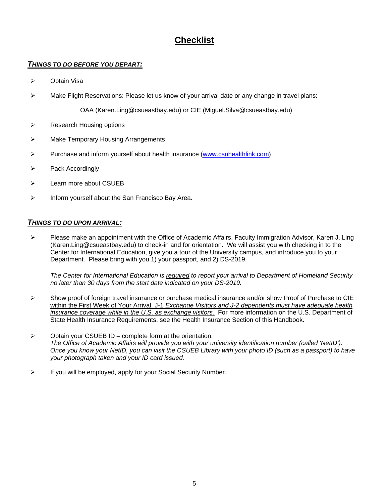# **Checklist**

### *THINGS TO DO BEFORE YOU DEPART:*

- Obtain Visa
- $\triangleright$  Make Flight Reservations: Please let us know of your arrival date or any change in travel plans:

OAA (Karen.Ling@csueastbay.edu) or CIE (Miguel.Silva@csueastbay.edu)

- $\triangleright$  Research Housing options
- **EXECUTE:** Make Temporary Housing Arrangements
- Purchase and inform yourself about health insurance (www.csuhealthlink.com)
- $\triangleright$  Pack Accordingly
- $\triangleright$  Learn more about CSUEB
- $\triangleright$  Inform yourself about the San Francisco Bay Area.

### *THINGS TO DO UPON ARRIVAL:*

 Please make an appointment with the Office of Academic Affairs, Faculty Immigration Advisor, Karen J. Ling (Karen.Ling@csueastbay.edu) to check-in and for orientation. We will assist you with checking in to the Center for International Education, give you a tour of the University campus, and introduce you to your Department. Please bring with you 1) your passport, and 2) DS-2019.

*The Center for International Education is required to report your arrival to Department of Homeland Security no later than 30 days from the start date indicated on your DS-2019.* 

- $\triangleright$  Show proof of foreign travel insurance or purchase medical insurance and/or show Proof of Purchase to CIE within the First Week of Your Arrival. J-1 *Exchange Visitors and J-2 dependents must have adequate health insurance coverage while in the U.S. as exchange visitors.* For more information on the U.S. Department of State Health Insurance Requirements, see the Health Insurance Section of this Handbook.
- $\triangleright$  Obtain your CSUEB ID complete form at the orientation. *The Office of Academic Affairs will provide you with your university identification number (called 'NetID'). Once you know your NetID, you can visit the CSUEB Library with your photo ID (such as a passport) to have your photograph taken and your ID card issued.*
- $\triangleright$  If you will be employed, apply for your Social Security Number.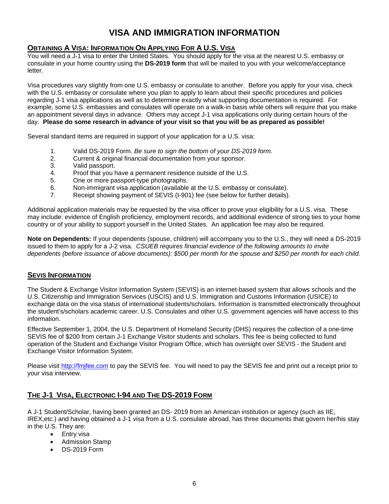# **VISA AND IMMIGRATION INFORMATION**

### **OBTAINING A VISA: INFORMATION ON APPLYING FOR A U.S. VISA**

You will need a J-1 visa to enter the United States. You should apply for the visa at the nearest U.S. embassy or consulate in your home country using the **DS-2019 form** that will be mailed to you with your welcome/acceptance letter.

Visa procedures vary slightly from one U.S. embassy or consulate to another. Before you apply for your visa, check with the U.S. embassy or consulate where you plan to apply to learn about their specific procedures and policies regarding J-1 visa applications as well as to determine exactly what supporting documentation is required. For example, some U.S. embassies and consulates will operate on a walk-in basis while others will require that you make an appointment several days in advance. Others may accept J-1 visa applications only during certain hours of the day. **Please do some research in advance of your visit so that you will be as prepared as possible!** 

Several standard items are required in support of your application for a U.S. visa:

- 1. Valid DS-2019 Form. *Be sure to sign the bottom of your DS-2019 form.*
- 2. Current & original financial documentation from your sponsor.
- 3. Valid passport.
- 4. Proof that you have a permanent residence outside of the U.S.
- 5. One or more passport-type photographs.
- 6. Non-immigrant visa application (available at the U.S. embassy or consulate).
- 7. Receipt showing payment of SEVIS (I-901) fee (see below for further details).

Additional application materials may be requested by the visa officer to prove your eligibility for a U.S. visa. These may include: evidence of English proficiency, employment records, and additional evidence of strong ties to your home country or of your ability to support yourself in the United States. An application fee may also be required.

**Note on Dependents:** If your dependents (spouse, children) will accompany you to the U.S., they will need a DS-2019 issued to them to apply for a J-2 visa. *CSUEB requires financial evidence of the following amounts to invite dependents (before issuance of above documents): \$500 per month for the spouse and \$250 per month for each child.* 

### **SEVIS INFORMATION**

The Student & Exchange Visitor Information System (SEVIS) is an internet-based system that allows schools and the U.S. Citizenship and Immigration Services (USCIS) and U.S. Immigration and Customs Information (USICE) to exchange data on the visa status of international students/scholars. Information is transmitted electronically throughout the student's/scholars academic career. U.S. Consulates and other U.S. government agencies will have access to this information.

Effective September 1, 2004, the U.S. Department of Homeland Security (DHS) requires the collection of a one-time SEVIS fee of \$200 from certain J-1 Exchange Visitor students and scholars. This fee is being collected to fund operation of the Student and Exchange Visitor Program Office, which has oversight over SEVIS - the Student and Exchange Visitor Information System.

Please visit http://fmjfee.com to pay the SEVIS fee. You will need to pay the SEVIS fee and print out a receipt prior to your visa interview.

### **THE J-1 VISA, ELECTRONIC I-94 AND THE DS-2019 FORM**

A J-1 Student/Scholar, having been granted an DS- 2019 from an American institution or agency (such as IIE, IREX,etc.) and having obtained a J-1 visa from a U.S. consulate abroad, has three documents that govern her/his stay in the U.S. They are:

- Entry visa
- Admission Stamp
- DS-2019 Form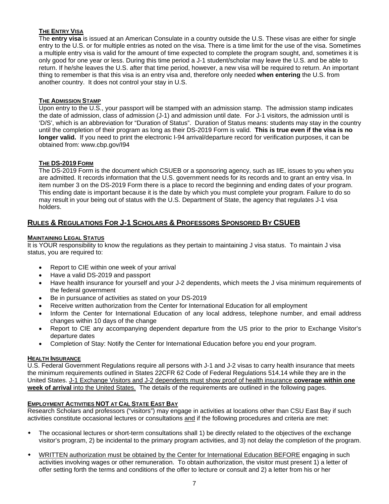### **THE ENTRY VISA**

The **entry visa** is issued at an American Consulate in a country outside the U.S. These visas are either for single entry to the U.S. or for multiple entries as noted on the visa. There is a time limit for the use of the visa. Sometimes a multiple entry visa is valid for the amount of time expected to complete the program sought, and, sometimes it is only good for one year or less. During this time period a J-1 student/scholar may leave the U.S. and be able to return. If he/she leaves the U.S. after that time period, however, a new visa will be required to return. An important thing to remember is that this visa is an entry visa and, therefore only needed **when entering** the U.S. from another country. It does not control your stay in U.S.

### **THE ADMISSION STAMP**

Upon entry to the U.S., your passport will be stamped with an admission stamp. The admission stamp indicates the date of admission, class of admission (J-1) and admission until date. For J-1 visitors, the admission until is 'D/S', which is an abbreviation for "Duration of Status". Duration of Status means: students may stay in the country until the completion of their program as long as their DS-2019 Form is valid. **This is true even if the visa is no longer valid.** If you need to print the electronic I-94 arrival/departure record for verification purposes, it can be obtained from: www.cbp.gov/I94

### **THE DS-2019 FORM**

The DS-2019 Form is the document which CSUEB or a sponsoring agency, such as IIE, issues to you when you are admitted. It records information that the U.S. government needs for its records and to grant an entry visa. In item number 3 on the DS-2019 Form there is a place to record the beginning and ending dates of your program. This ending date is important because it is the date by which you must complete your program. Failure to do so may result in your being out of status with the U.S. Department of State, the agency that regulates J-1 visa holders.

### **RULES & REGULATIONS FOR J-1 SCHOLARS & PROFESSORS SPONSORED BY CSUEB**

### **MAINTAINING LEGAL STATUS**

It is YOUR responsibility to know the regulations as they pertain to maintaining J visa status. To maintain J visa status, you are required to:

- Report to CIE within one week of your arrival
- Have a valid DS-2019 and passport
- Have health insurance for yourself and your J-2 dependents, which meets the J visa minimum requirements of the federal government
- Be in pursuance of activities as stated on your DS-2019
- Receive written authorization from the Center for International Education for all employment
- Inform the Center for International Education of any local address, telephone number, and email address changes within 10 days of the change
- Report to CIE any accompanying dependent departure from the US prior to the prior to Exchange Visitor's departure dates
- Completion of Stay: Notify the Center for International Education before you end your program.

### **HEALTH INSURANCE**

U.S. Federal Government Regulations require all persons with J-1 and J-2 visas to carry health insurance that meets the minimum requirements outlined in States 22CFR 62 Code of Federal Regulations 514.14 while they are in the United States. J-1 Exchange Visitors and J-2 dependents must show proof of health insurance **coverage within one week of arrival** into the United States. The details of the requirements are outlined in the following pages.

### **EMPLOYMENT ACTIVITIES NOT AT CAL STATE EAST BAY**

Research Scholars and professors ("visitors") may engage in activities at locations other than CSU East Bay if such activities constitute occasional lectures or consultations and if the following procedures and criteria are met:

- The occasional lectures or short-term consultations shall 1) be directly related to the objectives of the exchange visitor's program, 2) be incidental to the primary program activities, and 3) not delay the completion of the program.
- WRITTEN authorization must be obtained by the Center for International Education BEFORE engaging in such activities involving wages or other remuneration. To obtain authorization, the visitor must present 1) a letter of offer setting forth the terms and conditions of the offer to lecture or consult and 2) a letter from his or her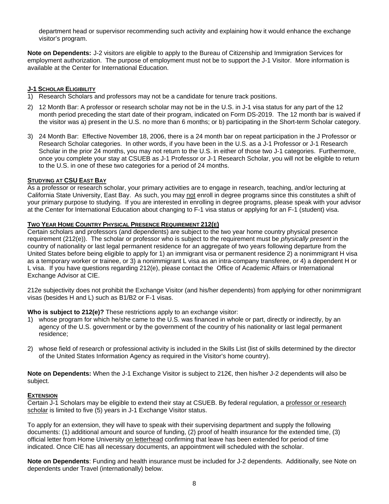department head or supervisor recommending such activity and explaining how it would enhance the exchange visitor's program.

**Note on Dependents:** J-2 visitors are eligible to apply to the Bureau of Citizenship and Immigration Services for employment authorization. The purpose of employment must not be to support the J-1 Visitor. More information is available at the Center for International Education.

### **J-1 SCHOLAR ELIGIBILITY**

- 1) Research Scholars and professors may not be a candidate for tenure track positions.
- 2) 12 Month Bar: A professor or research scholar may not be in the U.S. in J-1 visa status for any part of the 12 month period preceding the start date of their program, indicated on Form DS-2019. The 12 month bar is waived if the visitor was a) present in the U.S. no more than 6 months; or b) participating in the Short-term Scholar category.
- 3) 24 Month Bar: Effective November 18, 2006, there is a 24 month bar on repeat participation in the J Professor or Research Scholar categories. In other words, if you have been in the U.S. as a J-1 Professor or J-1 Research Scholar in the prior 24 months, you may not return to the U.S. in either of those two J-1 categories. Furthermore, once you complete your stay at CSUEB as J-1 Professor or J-1 Research Scholar, you will not be eligible to return to the U.S. in one of these two categories for a period of 24 months.

### **STUDYING AT CSU EAST BAY**

As a professor or research scholar, your primary activities are to engage in research, teaching, and/or lecturing at California State University, East Bay. As such, you may not enroll in degree programs since this constitutes a shift of your primary purpose to studying. If you are interested in enrolling in degree programs, please speak with your advisor at the Center for International Education about changing to F-1 visa status or applying for an F-1 (student) visa.

### **TWO YEAR HOME COUNTRY PHYSICAL PRESENCE REQUIREMENT 212(E)**

Certain scholars and professors (and dependents) are subject to the two year home country physical presence requirement (212(e)). The scholar or professor who is subject to the requirement must be *physically present* in the country of nationality or last legal permanent residence for an aggregate of two years following departure from the United States before being eligible to apply for 1) an immigrant visa or permanent residence 2) a nonimmigrant H visa as a temporary worker or trainee, or 3) a nonimmigrant L visa as an intra-company transferee, or 4) a dependent H or L visa. If you have questions regarding 212(e), please contact the Office of Academic Affairs or International Exchange Advisor at CIE.

212e subjectivity does not prohibit the Exchange Visitor (and his/her dependents) from applying for other nonimmigrant visas (besides H and L) such as B1/B2 or F-1 visas.

**Who is subject to 212(e)?** These restrictions apply to an exchange visitor:

- 1) whose program for which he/she came to the U.S. was financed in whole or part, directly or indirectly, by an agency of the U.S. government or by the government of the country of his nationality or last legal permanent residence;
- 2) whose field of research or professional activity is included in the Skills List (list of skills determined by the director of the United States Information Agency as required in the Visitor's home country).

**Note on Dependents:** When the J-1 Exchange Visitor is subject to 212€, then his/her J-2 dependents will also be subject.

### **EXTENSION**

Certain J-1 Scholars may be eligible to extend their stay at CSUEB. By federal regulation, a professor or research scholar is limited to five (5) years in J-1 Exchange Visitor status.

To apply for an extension, they will have to speak with their supervising department and supply the following documents: (1) additional amount and source of funding, (2) proof of health insurance for the extended time, (3) official letter from Home University on letterhead confirming that leave has been extended for period of time indicated. Once CIE has all necessary documents, an appointment will scheduled with the scholar.

**Note on Dependents**: Funding and health insurance must be included for J-2 dependents. Additionally, see Note on dependents under Travel (internationally) below.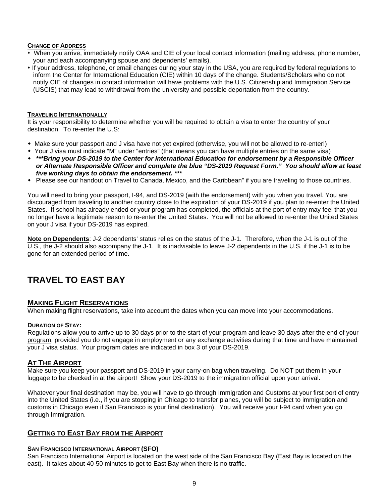### **CHANGE OF ADDRESS**

- When you arrive, immediately notify OAA and CIE of your local contact information (mailing address, phone number, your and each accompanying spouse and dependents' emails).
- If your address, telephone, or email changes during your stay in the USA, you are required by federal regulations to inform the Center for International Education (CIE) within 10 days of the change. Students/Scholars who do not notify CIE of changes in contact information will have problems with the U.S. Citizenship and Immigration Service (USCIS) that may lead to withdrawal from the university and possible deportation from the country.

### **TRAVELING INTERNATIONALLY**

It is your responsibility to determine whether you will be required to obtain a visa to enter the country of your destination. To re-enter the U.S:

- Make sure your passport and J visa have not yet expired (otherwise, you will not be allowed to re-enter!)
- Your J visa must indicate "M" under "entries" (that means you can have multiple entries on the same visa)
- *\*\*\*Bring your DS-2019 to the Center for International Education for endorsement by a Responsible Officer or Alternate Responsible Officer and complete the blue "DS-2019 Request Form." You should allow at least five working days to obtain the endorsement. \*\*\**
- Please see our handout on Travel to Canada, Mexico, and the Caribbean" if you are traveling to those countries.

You will need to bring your passport, I-94, and DS-2019 (with the endorsement) with you when you travel. You are discouraged from traveling to another country close to the expiration of your DS-2019 if you plan to re-enter the United States. If school has already ended or your program has completed, the officials at the port of entry may feel that you no longer have a legitimate reason to re-enter the United States. You will not be allowed to re-enter the United States on your J visa if your DS-2019 has expired.

**Note on Dependents**: J-2 dependents' status relies on the status of the J-1. Therefore, when the J-1 is out of the U.S., the J-2 should also accompany the J-1. It is inadvisable to leave J-2 dependents in the U.S. if the J-1 is to be gone for an extended period of time.

# **TRAVEL TO EAST BAY**

### **MAKING FLIGHT RESERVATIONS**

When making flight reservations, take into account the dates when you can move into your accommodations.

### **DURATION OF STAY:**

Regulations allow you to arrive up to 30 days prior to the start of your program and leave 30 days after the end of your program, provided you do not engage in employment or any exchange activities during that time and have maintained your J visa status. Your program dates are indicated in box 3 of your DS-2019.

### **AT THE AIRPORT**

Make sure you keep your passport and DS-2019 in your carry-on bag when traveling. Do NOT put them in your luggage to be checked in at the airport! Show your DS-2019 to the immigration official upon your arrival.

Whatever your final destination may be, you will have to go through Immigration and Customs at your first port of entry into the United States (i.e., if you are stopping in Chicago to transfer planes, you will be subject to immigration and customs in Chicago even if San Francisco is your final destination). You will receive your I-94 card when you go through Immigration.

### **GETTING TO EAST BAY FROM THE AIRPORT**

### **SAN FRANCISCO INTERNATIONAL AIRPORT (SFO)**

San Francisco International Airport is located on the west side of the San Francisco Bay (East Bay is located on the east). It takes about 40-50 minutes to get to East Bay when there is no traffic.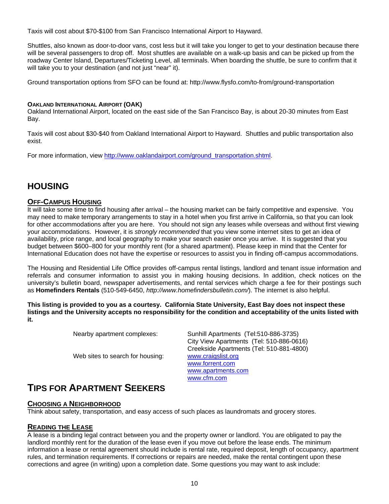Taxis will cost about \$70-\$100 from San Francisco International Airport to Hayward.

Shuttles, also known as door-to-door vans, cost less but it will take you longer to get to your destination because there will be several passengers to drop off. Most shuttles are available on a walk-up basis and can be picked up from the roadway Center Island, Departures/Ticketing Level, all terminals. When boarding the shuttle, be sure to confirm that it will take you to your destination (and not just "near" it).

Ground transportation options from SFO can be found at: http://www.flysfo.com/to-from/ground-transportation

### **OAKLAND INTERNATIONAL AIRPORT (OAK)**

Oakland International Airport, located on the east side of the San Francisco Bay, is about 20-30 minutes from East Bay.

Taxis will cost about \$30-\$40 from Oakland International Airport to Hayward. Shuttles and public transportation also exist.

For more information, view http://www.oaklandairport.com/ground\_transportation.shtml.

# **HOUSING**

### **OFF-CAMPUS HOUSING**

It will take some time to find housing after arrival – the housing market can be fairly competitive and expensive. You may need to make temporary arrangements to stay in a hotel when you first arrive in California, so that you can look for other accommodations after you are here. You should not sign any leases while overseas and without first viewing your accommodations. However, it is *strongly recommended* that you view some internet sites to get an idea of availability, price range, and local geography to make your search easier once you arrive. It is suggested that you budget between \$600–800 for your monthly rent (for a shared apartment). Please keep in mind that the Center for International Education does not have the expertise or resources to assist you in finding off-campus accommodations.

The Housing and Residential Life Office provides off-campus rental listings, landlord and tenant issue information and referrals and consumer information to assist you in making housing decisions. In addition, check notices on the university's bulletin board, newspaper advertisements, and rental services which charge a fee for their postings such as **Homefinders Rentals** (510-549-6450, *http://www.homefindersbulletin.com/*). The internet is also helpful.

**This listing is provided to you as a courtesy. California State University, East Bay does not inspect these listings and the University accepts no responsibility for the condition and acceptability of the units listed with it.** 

| Nearby apartment complexes:      | Sunhill Apartments (Tel:510-886-3735)    |
|----------------------------------|------------------------------------------|
|                                  | City View Apartments (Tel: 510-886-0616) |
|                                  | Creekside Apartments (Tel: 510-881-4800) |
| Web sites to search for housing: | www.craigslist.org                       |
|                                  | www.forrent.com                          |
|                                  | www.apartments.com                       |
|                                  | www.cfm.com                              |

# **TIPS FOR APARTMENT SEEKERS**

### **CHOOSING A NEIGHBORHOOD**

Think about safety, transportation, and easy access of such places as laundromats and grocery stores.

### **READING THE LEASE**

A lease is a binding legal contract between you and the property owner or landlord. You are obligated to pay the landlord monthly rent for the duration of the lease even if you move out before the lease ends. The minimum information a lease or rental agreement should include is rental rate, required deposit, length of occupancy, apartment rules, and termination requirements. If corrections or repairs are needed, make the rental contingent upon these corrections and agree (in writing) upon a completion date. Some questions you may want to ask include: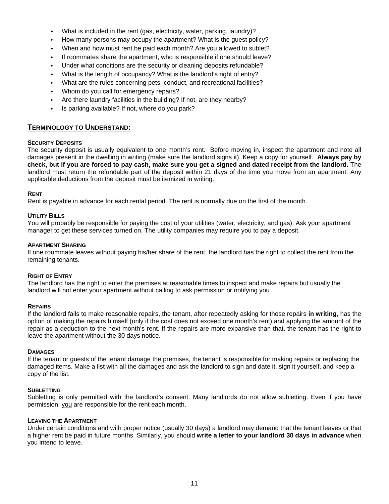- What is included in the rent (gas, electricity, water, parking, laundry)?
- How many persons may occupy the apartment? What is the guest policy?
- When and how must rent be paid each month? Are you allowed to sublet?
- If roommates share the apartment, who is responsible if one should leave?
- Under what conditions are the security or cleaning deposits refundable?
- What is the length of occupancy? What is the landlord's right of entry?
- What are the rules concerning pets, conduct, and recreational facilities?
- Whom do you call for emergency repairs?
- Are there laundry facilities in the building? If not, are they nearby?
- Is parking available? If not, where do you park?

### **TERMINOLOGY TO UNDERSTAND:**

### **SECURITY DEPOSITS**

The security deposit is usually equivalent to one month's rent. Before moving in, inspect the apartment and note all damages present in the dwelling in writing (make sure the landlord signs it). Keep a copy for yourself. **Always pay by check, but if you are forced to pay cash, make sure you get a signed and dated receipt from the landlord.** The landlord must return the refundable part of the deposit within 21 days of the time you move from an apartment. Any applicable deductions from the deposit must be itemized in writing.

### **RENT**

Rent is payable in advance for each rental period. The rent is normally due on the first of the month.

### **UTILITY BILLS**

You will probably be responsible for paying the cost of your utilities (water, electricity, and gas). Ask your apartment manager to get these services turned on. The utility companies may require you to pay a deposit.

### **APARTMENT SHARING**

If one roommate leaves without paying his/her share of the rent, the landlord has the right to collect the rent from the remaining tenants.

### **RIGHT OF ENTRY**

The landlord has the right to enter the premises at reasonable times to inspect and make repairs but usually the landlord will not enter your apartment without calling to ask permission or notifying you.

### **REPAIRS**

If the landlord fails to make reasonable repairs, the tenant, after repeatedly asking for those repairs **in writing**, has the option of making the repairs himself (only if the cost does not exceed one month's rent) and applying the amount of the repair as a deduction to the next month's rent. If the repairs are more expansive than that, the tenant has the right to leave the apartment without the 30 days notice.

### **DAMAGES**

If the tenant or guests of the tenant damage the premises, the tenant is responsible for making repairs or replacing the damaged items. Make a list with all the damages and ask the landlord to sign and date it, sign it yourself, and keep a copy of the list.

### **SUBLETTING**

Subletting is only permitted with the landlord's consent. Many landlords do not allow subletting. Even if you have permission, you are responsible for the rent each month.

### **LEAVING THE APARTMENT**

Under certain conditions and with proper notice (usually 30 days) a landlord may demand that the tenant leaves or that a higher rent be paid in future months. Similarly, you should **write a letter to your landlord 30 days in advance** when you intend to leave.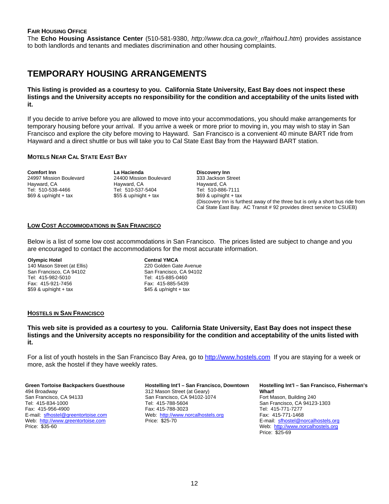### **FAIR HOUSING OFFICE**

The **Echo Housing Assistance Center** (510-581-9380, *http://www.dca.ca.gov/r\_r/fairhou1.htm*) provides assistance to both landlords and tenants and mediates discrimination and other housing complaints.

## **TEMPORARY HOUSING ARRANGEMENTS**

**This listing is provided as a courtesy to you. California State University, East Bay does not inspect these listings and the University accepts no responsibility for the condition and acceptability of the units listed with it.** 

If you decide to arrive before you are allowed to move into your accommodations, you should make arrangements for temporary housing before your arrival. If you arrive a week or more prior to moving in, you may wish to stay in San Francisco and explore the city before moving to Hayward. San Francisco is a convenient 40 minute BART ride from Hayward and a direct shuttle or bus will take you to Cal State East Bay from the Hayward BART station.

### **MOTELS NEAR CAL STATE EAST BAY**

**Comfort Inn**  24997 Mission Boulevard Hayward, CA Tel: 510-538-4466  $$69$  & up/night + tax

**La Hacienda**  24400 Mission Boulevard Hayward, CA Tel: 510-537-5404  $$55$  & up/night + tax

**Discovery Inn**  333 Jackson Street Hayward, CA Tel: 510-886-7111  $$69$  & up/night + tax (Discovery Inn is furthest away of the three but is only a short bus ride from Cal State East Bay. AC Transit # 92 provides direct service to CSUEB)

### **LOW COST ACCOMMODATIONS IN SAN FRANCISCO**

Below is a list of some low cost accommodations in San Francisco. The prices listed are subject to change and you are encouraged to contact the accommodations for the most accurate information.

### **Olympic Hotel**

140 Mason Street (at Ellis) San Francisco, CA 94102 Tel: 415-982-5010 Fax: 415-921-7456  $$59$  & up/night + tax

**Central YMCA**  220 Golden Gate Avenue San Francisco, CA 94102 Tel: 415-885-0460 Fax: 415-885-5439  $$45$  & up/night + tax

### **HOSTELS IN SAN FRANCISCO**

**This web site is provided as a courtesy to you. California State University, East Bay does not inspect these listings and the University accepts no responsibility for the condition and acceptability of the units listed with it.** 

For a list of youth hostels in the San Francisco Bay Area, go to http://www.hostels.com If you are staying for a week or more, ask the hostel if they have weekly rates.

### **Green Tortoise Backpackers Guesthouse**  494 Broadway San Francisco, CA 94133 Tel: 415-834-1000

Fax: 415-956-4900 E-mail: sfhostel@greentortoise.com Web: http://www.greentortoise.com Price: \$35-60

### **Hostelling Int'l – San Francisco, Downtown**  312 Mason Street (at Geary) San Francisco, CA 94102-1074 Tel: 415-788-5604

Fax: 415-788-3023 Web: http://www.norcalhostels.org Price: \$25-70

### **Hostelling Int'l – San Francisco, Fisherman's Wharf**  Fort Mason, Building 240 San Francisco, CA 94123-1303 Tel: 415-771-7277 Fax: 415-771-1468

E-mail: sfhostel@norcalhostels.org Web: http://www.norcalhostels.org Price: \$25-69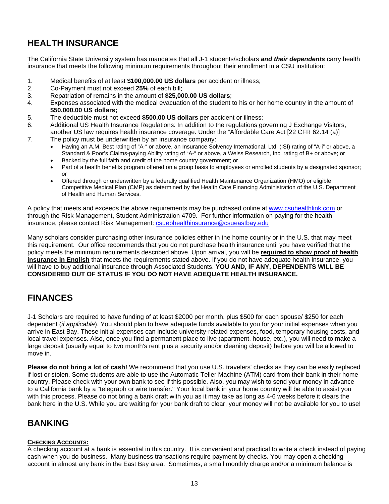# **HEALTH INSURANCE**

The California State University system has mandates that all J-1 students/scholars *and their dependents* carry health insurance that meets the following minimum requirements throughout their enrollment in a CSU institution:

- 1. Medical benefits of at least **\$100,000.00 US dollars** per accident or illness;
- 2. Co-Payment must not exceed **25%** of each bill;
- 3. Repatriation of remains in the amount of **\$25,000.00 US dollars**;
- 4. Expenses associated with the medical evacuation of the student to his or her home country in the amount of **\$50,000.00 US dollars;**
- 5. The deductible must not exceed **\$500.00 US dollars** per accident or illness;
- 6. Additional US Health Insurance Regulations: In addition to the regulations governing J Exchange Visitors, another US law requires health insurance coverage. Under the "Affordable Care Act [22 CFR 62.14 (a)]
- 7. The policy must be underwritten by an insurance company:
	- Having an A.M. Best rating of "A-" or above, an Insurance Solvency International, Ltd. (ISI) rating of "A-i" or above, a Standard & Poor's Claims-paying Ability rating of "A-" or above, a Weiss Research, Inc. rating of B+ or above; or
	- Backed by the full faith and credit of the home country government; or
	- Part of a health benefits program offered on a group basis to employees or enrolled students by a designated sponsor; or
	- Offered through or underwritten by a federally qualified Health Maintenance Organization (HMO) or eligible Competitive Medical Plan (CMP) as determined by the Health Care Financing Administration of the U.S. Department of Health and Human Services.

A policy that meets and exceeds the above requirements may be purchased online at www.csuhealthlink.com or through the Risk Management, Student Administration 4709. For further information on paying for the health insurance, please contact Risk Management: csuebhealthinsurance@csueastbay.edu

Many scholars consider purchasing other insurance policies either in the home country or in the U.S. that may meet this requirement. Our office recommends that you do not purchase health insurance until you have verified that the policy meets the minimum requirements described above. Upon arrival, you will be **required to show proof of health insurance in English** that meets the requirements stated above. If you do not have adequate health insurance, you will have to buy additional insurance through Associated Students. **YOU AND, IF ANY, DEPENDENTS WILL BE CONSIDERED OUT OF STATUS IF YOU DO NOT HAVE ADEQUATE HEALTH INSURANCE.** 

# **FINANCES**

J-1 Scholars are required to have funding of at least \$2000 per month, plus \$500 for each spouse/ \$250 for each dependent (*if applicable*). You should plan to have adequate funds available to you for your initial expenses when you arrive in East Bay. These initial expenses can include university-related expenses, food, temporary housing costs, and local travel expenses. Also, once you find a permanent place to live (apartment, house, etc.), you will need to make a large deposit (usually equal to two month's rent plus a security and/or cleaning deposit) before you will be allowed to move in.

**Please do not bring a lot of cash!** We recommend that you use U.S. travelers' checks as they can be easily replaced if lost or stolen. Some students are able to use the Automatic Teller Machine (ATM) card from their bank in their home country. Please check with your own bank to see if this possible. Also, you may wish to send your money in advance to a California bank by a "telegraph or wire transfer." Your local bank in your home country will be able to assist you with this process. Please do not bring a bank draft with you as it may take as long as 4-6 weeks before it clears the bank here in the U.S. While you are waiting for your bank draft to clear, your money will not be available for you to use!

# **BANKING**

### **CHECKING ACCOUNTS:**

A checking account at a bank is essential in this country. It is convenient and practical to write a check instead of paying cash when you do business. Many business transactions require payment by checks. You may open a checking account in almost any bank in the East Bay area. Sometimes, a small monthly charge and/or a minimum balance is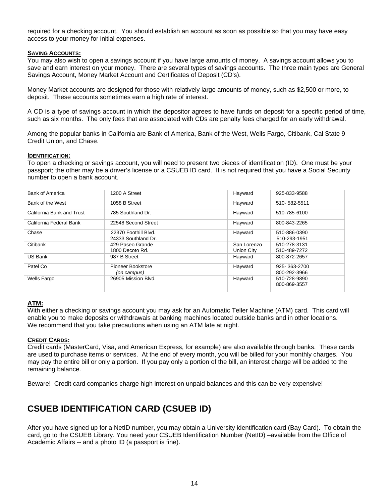required for a checking account. You should establish an account as soon as possible so that you may have easy access to your money for initial expenses.

### **SAVING ACCOUNTS:**

You may also wish to open a savings account if you have large amounts of money. A savings account allows you to save and earn interest on your money. There are several types of savings accounts. The three main types are General Savings Account, Money Market Account and Certificates of Deposit (CD's).

Money Market accounts are designed for those with relatively large amounts of money, such as \$2,500 or more, to deposit. These accounts sometimes earn a high rate of interest.

A CD is a type of savings account in which the depositor agrees to have funds on deposit for a specific period of time, such as six months. The only fees that are associated with CDs are penalty fees charged for an early withdrawal.

Among the popular banks in California are Bank of America, Bank of the West, Wells Fargo, Citibank, Cal State 9 Credit Union, and Chase.

### **IDENTIFICATION:**

To open a checking or savings account, you will need to present two pieces of identification (ID). One must be your passport; the other may be a driver's license or a CSUEB ID card. It is not required that you have a Social Security number to open a bank account.

| <b>Bank of America</b>    | 1200 A Street        | Hayward     | 925-833-9588                 |
|---------------------------|----------------------|-------------|------------------------------|
| Bank of the West          | 1058 B Street        | Hayward     | 510-582-5511                 |
| California Bank and Trust | 785 Southland Dr.    | Hayward     | 510-785-6100                 |
| California Federal Bank   | 22548 Second Street  | Hayward     | 800-843-2265                 |
| Chase                     | 22370 Foothill Blvd. | Hayward     | 510-886-0390                 |
|                           | 24333 Southland Dr.  |             | 510-293-1951                 |
| Citibank                  | 429 Paseo Grande     | San Lorenzo | 510-278-3131                 |
|                           | 1800 Decoto Rd.      | Union City  | 510-489-7272                 |
| US Bank                   | 987 B Street         | Hayward     | 800-872-2657                 |
| Patel Co                  | Pioneer Bookstore    | Hayward     | 925-363-2700                 |
|                           | (on campus)          |             | 800-292-3966                 |
| Wells Fargo               | 26905 Mission Blvd.  | Hayward     | 510-728-9890<br>800-869-3557 |
|                           |                      |             |                              |

### **ATM:**

With either a checking or savings account you may ask for an Automatic Teller Machine (ATM) card. This card will enable you to make deposits or withdrawals at banking machines located outside banks and in other locations. We recommend that you take precautions when using an ATM late at night.

### **CREDIT CARDS:**

Credit cards (MasterCard, Visa, and American Express, for example) are also available through banks. These cards are used to purchase items or services. At the end of every month, you will be billed for your monthly charges. You may pay the entire bill or only a portion. If you pay only a portion of the bill, an interest charge will be added to the remaining balance.

Beware! Credit card companies charge high interest on unpaid balances and this can be very expensive!

# **CSUEB IDENTIFICATION CARD (CSUEB ID)**

After you have signed up for a NetID number, you may obtain a University identification card (Bay Card). To obtain the card, go to the CSUEB Library. You need your CSUEB Identification Number (NetID) –available from the Office of Academic Affairs -- and a photo ID (a passport is fine).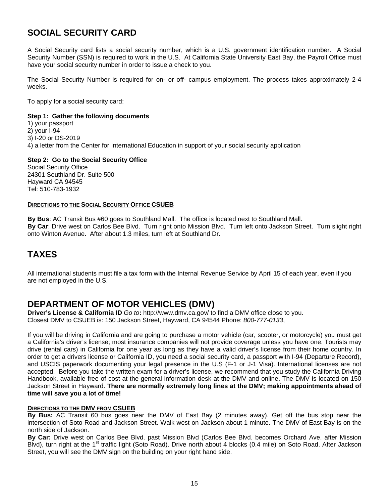# **SOCIAL SECURITY CARD**

A Social Security card lists a social security number, which is a U.S. government identification number. A Social Security Number (SSN) is required to work in the U.S. At California State University East Bay, the Payroll Office must have your social security number in order to issue a check to you.

The Social Security Number is required for on- or off- campus employment. The process takes approximately 2-4 weeks.

To apply for a social security card:

### **Step 1: Gather the following documents**

1) your passport 2) your I-94 3) I-20 or DS-2019 4) a letter from the Center for International Education in support of your social security application

### **Step 2: Go to the Social Security Office**

Social Security Office 24301 Southland Dr. Suite 500 Hayward CA 94545 Tel: 510-783-1932

### **DIRECTIONS TO THE SOCIAL SECURITY OFFICE CSUEB**

**By Bus**: AC Transit Bus #60 goes to Southland Mall. The office is located next to Southland Mall. **By Car**: Drive west on Carlos Bee Blvd. Turn right onto Mission Blvd. Turn left onto Jackson Street. Turn slight right onto Winton Avenue. After about 1.3 miles, turn left at Southland Dr.

# **TAXES**

All international students must file a tax form with the Internal Revenue Service by April 15 of each year, even if you are not employed in the U.S.

# **DEPARTMENT OF MOTOR VEHICLES (DMV)**

**Driver's License & California ID** *Go to***:** http://www.dmv.ca.gov/ to find a DMV office close to you. Closest DMV to CSUEB is: 150 Jackson Street, Hayward, CA 94544 Phone: *800-777-0133*,

If you will be driving in California and are going to purchase a motor vehicle (car, scooter, or motorcycle) you must get a California's driver's license; most insurance companies will not provide coverage unless you have one. Tourists may drive (rental cars) in California for one year as long as they have a valid driver's license from their home country. In order to get a drivers license or California ID, you need a social security card, a passport with I-94 (Departure Record), and USCIS paperwork documenting your legal presence in the U.S (F-1 or J-1 Visa). International licenses are not accepted. Before you take the written exam for a driver's license, we recommend that you study the California Driving Handbook, available free of cost at the general information desk at the DMV and online**.** The DMV is located on 150 Jackson Street in Hayward. **There are normally extremely long lines at the DMV; making appointments ahead of time will save you a lot of time!** 

### **DIRECTIONS TO THE DMV FROM CSUEB**

**By Bus:** AC Transit 60 bus goes near the DMV of East Bay (2 minutes away). Get off the bus stop near the intersection of Soto Road and Jackson Street. Walk west on Jackson about 1 minute. The DMV of East Bay is on the north side of Jackson.

**By Car:** Drive west on Carlos Bee Blvd. past Mission Blvd (Carlos Bee Blvd. becomes Orchard Ave. after Mission Blvd), turn right at the 1<sup>st</sup> traffic light (Soto Road). Drive north about 4 blocks (0.4 mile) on Soto Road. After Jackson Street, you will see the DMV sign on the building on your right hand side.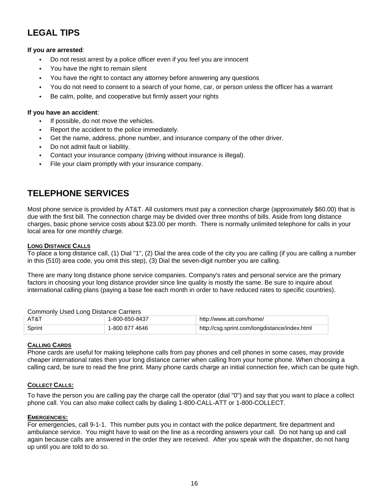# **LEGAL TIPS**

### **If you are arrested**:

- Do not resist arrest by a police officer even if you feel you are innocent
- You have the right to remain silent
- You have the right to contact any attorney before answering any questions
- You do not need to consent to a search of your home, car, or person unless the officer has a warrant
- Be calm, polite, and cooperative but firmly assert your rights

### **If you have an accident**:

- If possible, do not move the vehicles.
- Report the accident to the police immediately.
- Get the name, address, phone number, and insurance company of the other driver.
- Do not admit fault or liability.
- Contact your insurance company (driving without insurance is illegal).
- File your claim promptly with your insurance company.

# **TELEPHONE SERVICES**

Most phone service is provided by AT&T. All customers must pay a connection charge (approximately \$60.00) that is due with the first bill. The connection charge may be divided over three months of bills. Aside from long distance charges, basic phone service costs about \$23.00 per month. There is normally unlimited telephone for calls in your local area for one monthly charge.

### **LONG DISTANCE CALLS**

To place a long distance call, (1) Dial "1", (2) Dial the area code of the city you are calling (if you are calling a number in this (510) area code, you omit this step), (3) Dial the seven-digit number you are calling.

There are many long distance phone service companies. Company's rates and personal service are the primary factors in choosing your long distance provider since line quality is mostly the same. Be sure to inquire about international calling plans (paying a base fee each month in order to have reduced rates to specific countries).

| Commonly Used Long Distance Carliers |                |                                               |
|--------------------------------------|----------------|-----------------------------------------------|
| AT&T                                 | 1-800-850-8437 | http://www.att.com/home/                      |
| Sprint                               | 1-800 877 4646 | http://csg.sprint.com/longdistance/index.html |

### Commonly Used Long Distance Carriers

### **CALLING CARDS**

Phone cards are useful for making telephone calls from pay phones and cell phones in some cases, may provide cheaper international rates then your long distance carrier when calling from your home phone. When choosing a calling card, be sure to read the fine print. Many phone cards charge an initial connection fee, which can be quite high.

### **COLLECT CALLS:**

To have the person you are calling pay the charge call the operator (dial "0") and say that you want to place a collect phone call. You can also make collect calls by dialing 1-800-CALL-ATT or 1-800-COLLECT.

### **EMERGENCIES:**

For emergencies, call 9-1-1. This number puts you in contact with the police department, fire department and ambulance service. You might have to wait on the line as a recording answers your call. Do not hang up and call again because calls are answered in the order they are received. After you speak with the dispatcher, do not hang up until you are told to do so.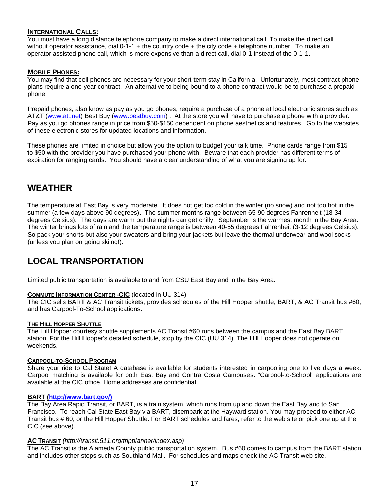### **INTERNATIONAL CALLS:**

You must have a long distance telephone company to make a direct international call. To make the direct call without operator assistance, dial 0-1-1 + the country code + the city code + telephone number. To make an operator assisted phone call, which is more expensive than a direct call, dial 0-1 instead of the 0-1-1.

### **MOBILE PHONES:**

You may find that cell phones are necessary for your short-term stay in California. Unfortunately, most contract phone plans require a one year contract. An alternative to being bound to a phone contract would be to purchase a prepaid phone.

Prepaid phones, also know as pay as you go phones, require a purchase of a phone at local electronic stores such as AT&T (www.att.net) Best Buy (www.bestbuy.com). At the store you will have to purchase a phone with a provider. Pay as you go phones range in price from \$50-\$150 dependent on phone aesthetics and features. Go to the websites of these electronic stores for updated locations and information.

These phones are limited in choice but allow you the option to budget your talk time. Phone cards range from \$15 to \$50 with the provider you have purchased your phone with. Beware that each provider has different terms of expiration for ranging cards. You should have a clear understanding of what you are signing up for.

# **WEATHER**

The temperature at East Bay is very moderate. It does not get too cold in the winter (no snow) and not too hot in the summer (a few days above 90 degrees). The summer months range between 65-90 degrees Fahrenheit (18-34 degrees Celsius). The days are warm but the nights can get chilly. September is the warmest month in the Bay Area. The winter brings lots of rain and the temperature range is between 40-55 degrees Fahrenheit (3-12 degrees Celsius). So pack your shorts but also your sweaters and bring your jackets but leave the thermal underwear and wool socks (unless you plan on going skiing!).

# **LOCAL TRANSPORTATION**

Limited public transportation is available to and from CSU East Bay and in the Bay Area.

### **COMMUTE INFORMATION CENTER -CIC** (located in UU 314)

The CIC sells BART & AC Transit tickets, provides schedules of the Hill Hopper shuttle, BART, & AC Transit bus #60, and has Carpool-To-School applications.

### **THE HILL HOPPER SHUTTLE**

The Hill Hopper courtesy shuttle supplements AC Transit #60 runs between the campus and the East Bay BART station. For the Hill Hopper's detailed schedule, stop by the CIC (UU 314). The Hill Hopper does not operate on weekends.

### **CARPOOL-TO-SCHOOL PROGRAM**

Share your ride to Cal State! A database is available for students interested in carpooling one to five days a week. Carpool matching is available for both East Bay and Contra Costa Campuses. "Carpool-to-School" applications are available at the CIC office. Home addresses are confidential.

### **BART (http://www.bart.gov/)**

The Bay Area Rapid Transit, or BART, is a train system, which runs from up and down the East Bay and to San Francisco. To reach Cal State East Bay via BART, disembark at the Hayward station. You may proceed to either AC Transit bus # 60, or the Hill Hopper Shuttle. For BART schedules and fares, refer to the web site or pick one up at the CIC (see above).

### **AC TRANSIT** *(http://transit.511.org/tripplanner/index.asp)*

The AC Transit is the Alameda County public transportation system. Bus #60 comes to campus from the BART station and includes other stops such as Southland Mall. For schedules and maps check the AC Transit web site.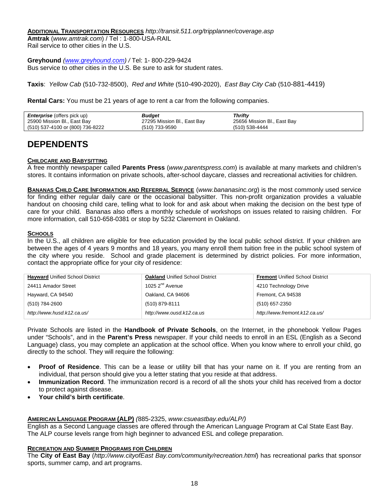**ADDITIONAL TRANSPORTATION RESOURCES** *http://transit.511.org/tripplanner/coverage.asp* **Amtrak** (*www.amtrak.com*) / Tel : 1-800-USA-RAIL

Rail service to other cities in the U.S.

**Greyhound** *(www.greyhound.com) /* Tel: 1- 800-229-9424 Bus service to other cities in the U.S. Be sure to ask for student rates.

**Taxis**: *Yellow Cab* (510-732-8500), *Red and White* (510-490-2020), *East Bay City Cab* (510-881-4419)

**Rental Cars:** You must be 21 years of age to rent a car from the following companies.

| <b>Enterprise</b> (offers pick up) | Budget                      | <b>Thrifty</b>              |
|------------------------------------|-----------------------------|-----------------------------|
| 25900 Mission Bl., East Bay        | 27295 Mission Bl., East Bay | 25656 Mission Bl., East Bay |
| (510) 537-4100 or (800) 736-8222   | (510) 733-9590              | (510) 538-4444              |

# **DEPENDENTS**

### **CHILDCARE AND BABYSITTING**

A free monthly newspaper called **Parents Press** (*www.parentspress.com*) is available at many markets and children's stores. It contains information on private schools, after-school daycare, classes and recreational activities for children.

**BANANAS CHILD CARE INFORMATION AND REFERRAL SERVICE** (*www.bananasinc.org*) is the most commonly used service for finding either regular daily care or the occasional babysitter. This non-profit organization provides a valuable handout on choosing child care, telling what to look for and ask about when making the decision on the best type of care for your child. Bananas also offers a monthly schedule of workshops on issues related to raising children. For more information, call 510-658-0381 or stop by 5232 Claremont in Oakland.

### **SCHOOLS**

In the U.S., all children are eligible for free education provided by the local public school district. If your children are between the ages of 4 years 9 months and 18 years, you many enroll them tuition free in the public school system of the city where you reside. School and grade placement is determined by district policies. For more information, contact the appropriate office for your city of residence:

| <b>Hayward Unified School District</b> | <b>Oakland Unified School District</b> | <b>Fremont Unified School District</b> |
|----------------------------------------|----------------------------------------|----------------------------------------|
| 24411 Amador Street                    | 1025 $2^{nd}$ Avenue                   | 4210 Technology Drive                  |
| Hayward, CA 94540                      | Oakland, CA 94606                      | Fremont, CA 94538                      |
| (510) 784-2600                         | (510) 879-8111                         | (510) 657-2350                         |
| http://www.husd.k12.ca.us/             | http://www.ousd.k12.ca.us              | http://www.fremont.k12.ca.us/          |

Private Schools are listed in the **Handbook of Private Schools**, on the Internet, in the phonebook Yellow Pages under "Schools", and in the **Parent's Press** newspaper. If your child needs to enroll in an ESL (English as a Second Language) class, you may complete an application at the school office. When you know where to enroll your child, go directly to the school. They will require the following:

- **Proof of Residence**. This can be a lease or utility bill that has your name on it. If you are renting from an individual, that person should give you a letter stating that you reside at that address.
- **Immunization Record**. The immunization record is a record of all the shots your child has received from a doctor to protect against disease.
- **Your child's birth certificate**.

### **AMERICAN LANGUAGE PROGRAM (ALP)** *(*885-2325, *www.csueastbay.edu/ALP/)*

English as a Second Language classes are offered through the American Language Program at Cal State East Bay. The ALP course levels range from high beginner to advanced ESL and college preparation.

### **RECREATION AND SUMMER PROGRAMS FOR CHILDREN**

The **City of East Bay** (*http://www.cityofEast Bay.com/community/recreation.html*) has recreational parks that sponsor sports, summer camp, and art programs.